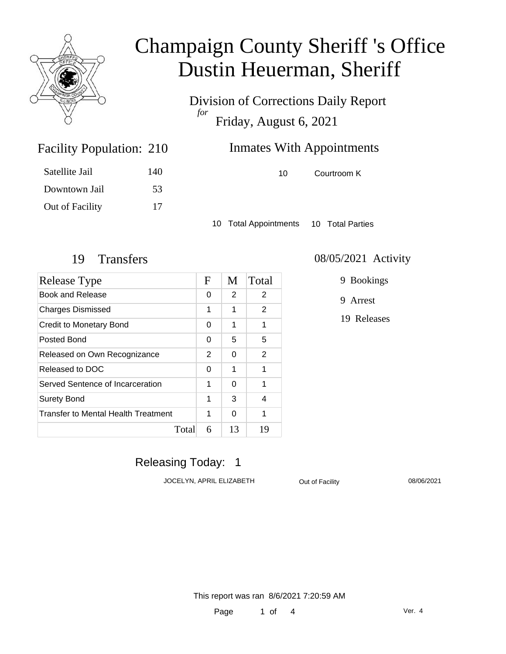

Division of Corrections Daily Report *for* Friday, August 6, 2021

### **Inmates With Appointments**

10 Courtroom K

Satellite Jail 140 Downtown Jail 53 Out of Facility 17

Facility Population: 210

10 Total Appointments 10 Total Parties

| Release Type                               | F | M  | Total |
|--------------------------------------------|---|----|-------|
| Book and Release                           | 0 | 2  | 2     |
| <b>Charges Dismissed</b>                   | 1 | 1  | 2     |
| <b>Credit to Monetary Bond</b>             | 0 | 1  | 1     |
| Posted Bond                                | 0 | 5  | 5     |
| Released on Own Recognizance               | 2 | 0  | 2     |
| Released to DOC                            | 0 | 1  | 1     |
| Served Sentence of Incarceration           | 1 | 0  | 1     |
| <b>Surety Bond</b>                         | 1 | 3  | 4     |
| <b>Transfer to Mental Health Treatment</b> | 1 | ი  | 1     |
| Total                                      | 6 | 13 | 19    |

#### 19 Transfers 08/05/2021 Activity

9 Bookings

9 Arrest

19 Releases

### Releasing Today: 1

JOCELYN, APRIL ELIZABETH Out of Facility 08/06/2021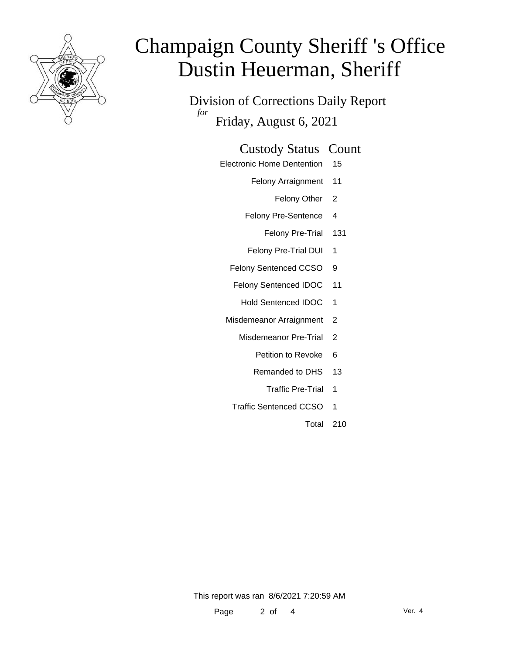

Division of Corrections Daily Report *for* Friday, August 6, 2021

#### Custody Status Count

- Electronic Home Dentention 15
	- Felony Arraignment 11
		- Felony Other 2
	- Felony Pre-Sentence 4
		- Felony Pre-Trial 131
	- Felony Pre-Trial DUI 1
	- Felony Sentenced CCSO 9
	- Felony Sentenced IDOC 11
		- Hold Sentenced IDOC 1
	- Misdemeanor Arraignment 2
		- Misdemeanor Pre-Trial 2
			- Petition to Revoke 6
			- Remanded to DHS 13
				- Traffic Pre-Trial 1
		- Traffic Sentenced CCSO 1
			- Total 210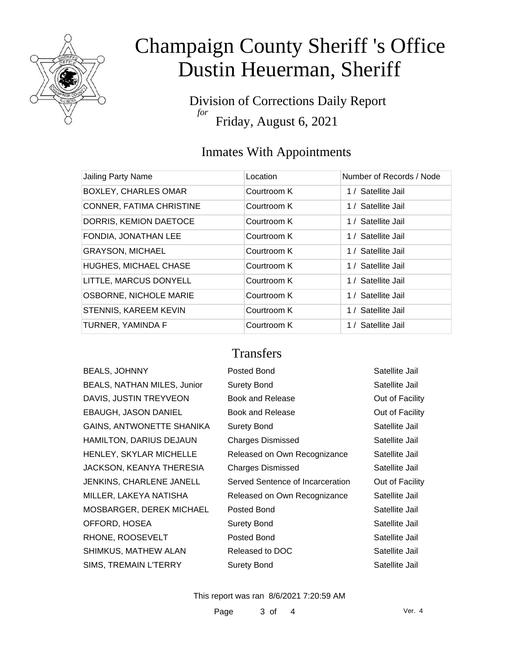

Division of Corrections Daily Report *for* Friday, August 6, 2021

#### Inmates With Appointments

| Jailing Party Name              | Location    | Number of Records / Node |
|---------------------------------|-------------|--------------------------|
| <b>BOXLEY, CHARLES OMAR</b>     | Courtroom K | 1 / Satellite Jail       |
| <b>CONNER, FATIMA CHRISTINE</b> | Courtroom K | 1 / Satellite Jail       |
| DORRIS, KEMION DAETOCE          | Courtroom K | 1 / Satellite Jail       |
| FONDIA, JONATHAN LEE            | Courtroom K | 1 / Satellite Jail       |
| <b>GRAYSON, MICHAEL</b>         | Courtroom K | 1 / Satellite Jail       |
| <b>HUGHES, MICHAEL CHASE</b>    | Courtroom K | 1 / Satellite Jail       |
| LITTLE, MARCUS DONYELL          | Courtroom K | 1 / Satellite Jail       |
| <b>OSBORNE, NICHOLE MARIE</b>   | Courtroom K | 1 / Satellite Jail       |
| STENNIS, KAREEM KEVIN           | Courtroom K | 1 / Satellite Jail       |
| TURNER, YAMINDA F               | Courtroom K | 1 / Satellite Jail       |

#### **Transfers**

| <b>BEALS, JOHNNY</b>               |
|------------------------------------|
| <b>BEALS, NATHAN MILES, Junior</b> |
| DAVIS, JUSTIN TREYVEON             |
| <b>EBAUGH, JASON DANIEL</b>        |
| <b>GAINS, ANTWONETTE SHANIKA</b>   |
| HAMILTON, DARIUS DEJAUN            |
| <b>HENLEY, SKYLAR MICHELLE</b>     |
| JACKSON, KEANYA THERESIA           |
| <b>JENKINS, CHARLENE JANELL</b>    |
| MILLER, LAKEYA NATISHA             |
| MOSBARGER, DEREK MICHAEL           |
| OFFORD, HOSEA                      |
| RHONE, ROOSEVELT                   |
| SHIMKUS, MATHEW ALAN               |
| <b>SIMS, TREMAIN L'TERRY</b>       |

| <b>BEALS, JOHNNY</b>               | Posted Bond                      | Satellite Jail  |
|------------------------------------|----------------------------------|-----------------|
| <b>BEALS, NATHAN MILES, Junior</b> | <b>Surety Bond</b>               | Satellite Jail  |
| DAVIS, JUSTIN TREYVEON             | Book and Release                 | Out of Facility |
| EBAUGH, JASON DANIEL               | Book and Release                 | Out of Facility |
| GAINS, ANTWONETTE SHANIKA          | Surety Bond                      | Satellite Jail  |
| HAMILTON, DARIUS DEJAUN            | <b>Charges Dismissed</b>         | Satellite Jail  |
| HENLEY, SKYLAR MICHELLE            | Released on Own Recognizance     | Satellite Jail  |
| JACKSON, KEANYA THERESIA           | <b>Charges Dismissed</b>         | Satellite Jail  |
| JENKINS, CHARLENE JANELL           | Served Sentence of Incarceration | Out of Facility |
| MILLER, LAKEYA NATISHA             | Released on Own Recognizance     | Satellite Jail  |
| MOSBARGER, DEREK MICHAEL           | Posted Bond                      | Satellite Jail  |
| OFFORD, HOSEA                      | <b>Surety Bond</b>               | Satellite Jail  |
| RHONE, ROOSEVELT                   | Posted Bond                      | Satellite Jail  |
| SHIMKUS, MATHEW ALAN               | Released to DOC                  | Satellite Jail  |
| SIMS, TREMAIN L'TERRY              | <b>Surety Bond</b>               | Satellite Jail  |